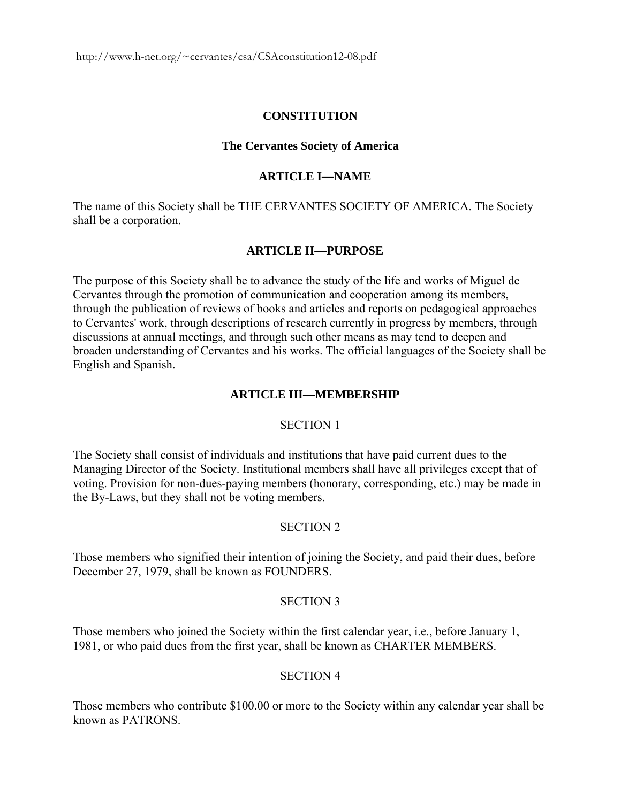# **CONSTITUTION**

## **The Cervantes Society of America**

# **ARTICLE I—NAME**

The name of this Society shall be THE CERVANTES SOCIETY OF AMERICA. The Society shall be a corporation.

# **ARTICLE II—PURPOSE**

The purpose of this Society shall be to advance the study of the life and works of Miguel de Cervantes through the promotion of communication and cooperation among its members, through the publication of reviews of books and articles and reports on pedagogical approaches to Cervantes' work, through descriptions of research currently in progress by members, through discussions at annual meetings, and through such other means as may tend to deepen and broaden understanding of Cervantes and his works. The official languages of the Society shall be English and Spanish.

# **ARTICLE III—MEMBERSHIP**

## SECTION 1

The Society shall consist of individuals and institutions that have paid current dues to the Managing Director of the Society. Institutional members shall have all privileges except that of voting. Provision for non-dues-paying members (honorary, corresponding, etc.) may be made in the By-Laws, but they shall not be voting members.

## SECTION 2

Those members who signified their intention of joining the Society, and paid their dues, before December 27, 1979, shall be known as FOUNDERS.

## SECTION 3

Those members who joined the Society within the first calendar year, i.e., before January 1, 1981, or who paid dues from the first year, shall be known as CHARTER MEMBERS.

# SECTION 4

Those members who contribute \$100.00 or more to the Society within any calendar year shall be known as PATRONS.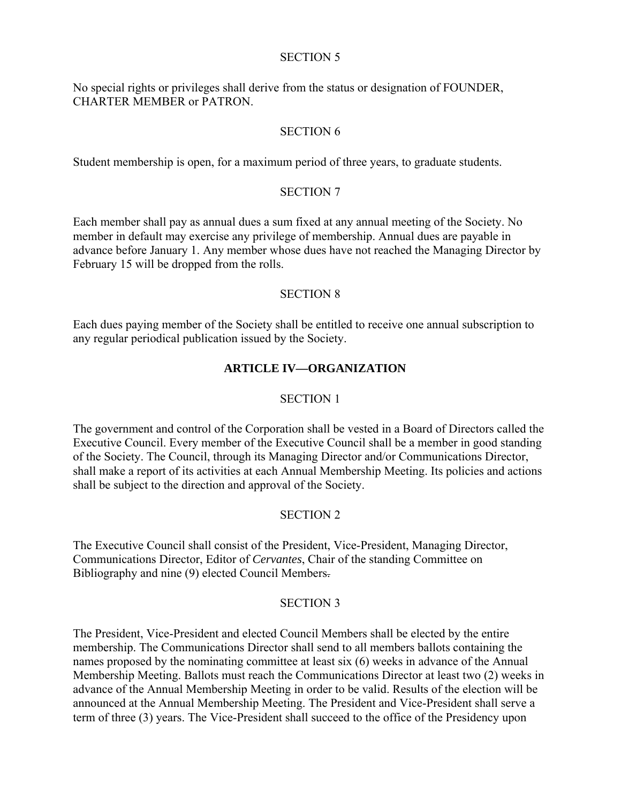#### SECTION 5

No special rights or privileges shall derive from the status or designation of FOUNDER, CHARTER MEMBER or PATRON.

# SECTION 6

Student membership is open, for a maximum period of three years, to graduate students.

# SECTION 7

Each member shall pay as annual dues a sum fixed at any annual meeting of the Society. No member in default may exercise any privilege of membership. Annual dues are payable in advance before January 1. Any member whose dues have not reached the Managing Director by February 15 will be dropped from the rolls.

## SECTION 8

Each dues paying member of the Society shall be entitled to receive one annual subscription to any regular periodical publication issued by the Society.

# **ARTICLE IV—ORGANIZATION**

# SECTION 1

The government and control of the Corporation shall be vested in a Board of Directors called the Executive Council. Every member of the Executive Council shall be a member in good standing of the Society. The Council, through its Managing Director and/or Communications Director, shall make a report of its activities at each Annual Membership Meeting. Its policies and actions shall be subject to the direction and approval of the Society.

# SECTION 2

The Executive Council shall consist of the President, Vice-President, Managing Director, Communications Director, Editor of *Cervantes*, Chair of the standing Committee on Bibliography and nine (9) elected Council Members.

## SECTION 3

The President, Vice-President and elected Council Members shall be elected by the entire membership. The Communications Director shall send to all members ballots containing the names proposed by the nominating committee at least six (6) weeks in advance of the Annual Membership Meeting. Ballots must reach the Communications Director at least two (2) weeks in advance of the Annual Membership Meeting in order to be valid. Results of the election will be announced at the Annual Membership Meeting. The President and Vice-President shall serve a term of three (3) years. The Vice-President shall succeed to the office of the Presidency upon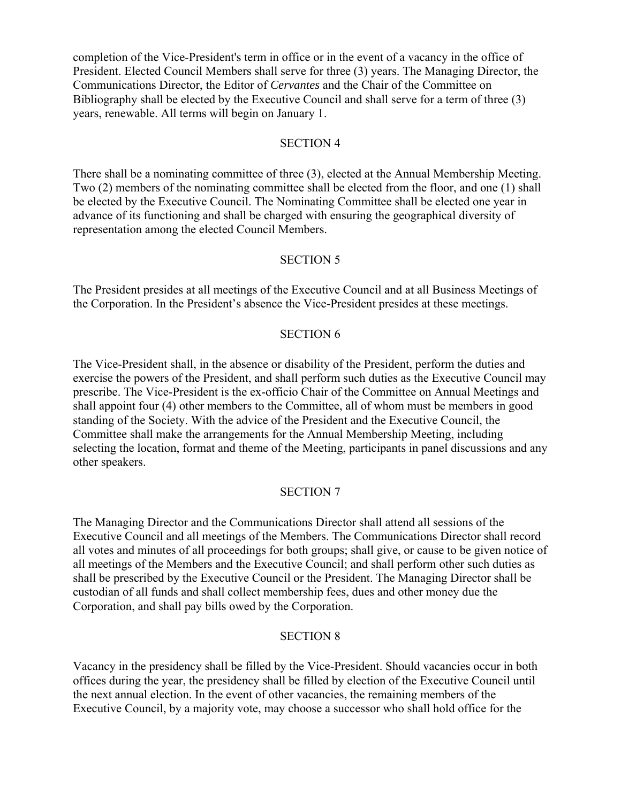completion of the Vice-President's term in office or in the event of a vacancy in the office of President. Elected Council Members shall serve for three (3) years. The Managing Director, the Communications Director, the Editor of *Cervantes* and the Chair of the Committee on Bibliography shall be elected by the Executive Council and shall serve for a term of three (3) years, renewable. All terms will begin on January 1.

#### SECTION 4

There shall be a nominating committee of three (3), elected at the Annual Membership Meeting. Two (2) members of the nominating committee shall be elected from the floor, and one (1) shall be elected by the Executive Council. The Nominating Committee shall be elected one year in advance of its functioning and shall be charged with ensuring the geographical diversity of representation among the elected Council Members.

### SECTION 5

The President presides at all meetings of the Executive Council and at all Business Meetings of the Corporation. In the President's absence the Vice-President presides at these meetings.

### SECTION 6

The Vice-President shall, in the absence or disability of the President, perform the duties and exercise the powers of the President, and shall perform such duties as the Executive Council may prescribe. The Vice-President is the ex-officio Chair of the Committee on Annual Meetings and shall appoint four (4) other members to the Committee, all of whom must be members in good standing of the Society. With the advice of the President and the Executive Council, the Committee shall make the arrangements for the Annual Membership Meeting, including selecting the location, format and theme of the Meeting, participants in panel discussions and any other speakers.

## SECTION 7

The Managing Director and the Communications Director shall attend all sessions of the Executive Council and all meetings of the Members. The Communications Director shall record all votes and minutes of all proceedings for both groups; shall give, or cause to be given notice of all meetings of the Members and the Executive Council; and shall perform other such duties as shall be prescribed by the Executive Council or the President. The Managing Director shall be custodian of all funds and shall collect membership fees, dues and other money due the Corporation, and shall pay bills owed by the Corporation.

#### SECTION 8

Vacancy in the presidency shall be filled by the Vice-President. Should vacancies occur in both offices during the year, the presidency shall be filled by election of the Executive Council until the next annual election. In the event of other vacancies, the remaining members of the Executive Council, by a majority vote, may choose a successor who shall hold office for the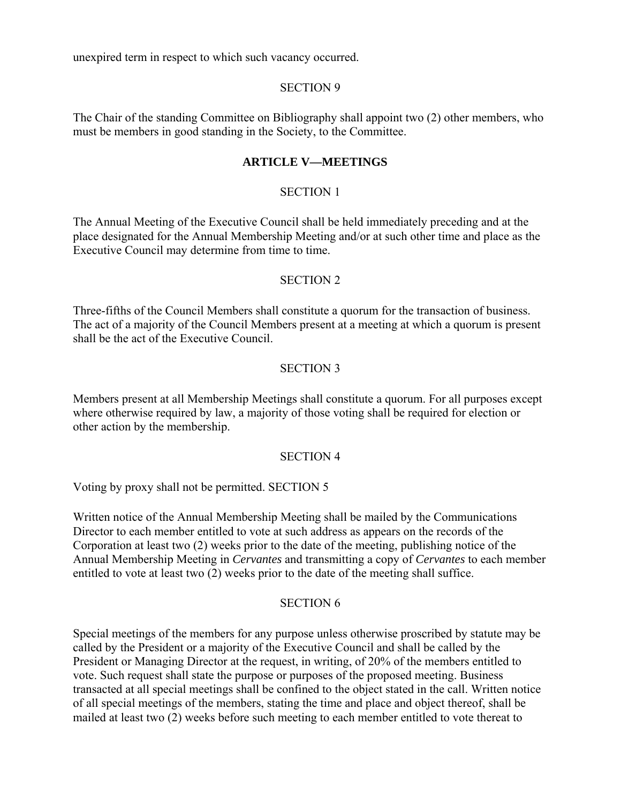unexpired term in respect to which such vacancy occurred.

### SECTION 9

The Chair of the standing Committee on Bibliography shall appoint two (2) other members, who must be members in good standing in the Society, to the Committee.

# **ARTICLE V—MEETINGS**

# SECTION 1

The Annual Meeting of the Executive Council shall be held immediately preceding and at the place designated for the Annual Membership Meeting and/or at such other time and place as the Executive Council may determine from time to time.

### SECTION 2

Three-fifths of the Council Members shall constitute a quorum for the transaction of business. The act of a majority of the Council Members present at a meeting at which a quorum is present shall be the act of the Executive Council.

## SECTION 3

Members present at all Membership Meetings shall constitute a quorum. For all purposes except where otherwise required by law, a majority of those voting shall be required for election or other action by the membership.

## SECTION 4

Voting by proxy shall not be permitted. SECTION 5

Written notice of the Annual Membership Meeting shall be mailed by the Communications Director to each member entitled to vote at such address as appears on the records of the Corporation at least two (2) weeks prior to the date of the meeting, publishing notice of the Annual Membership Meeting in *Cervantes* and transmitting a copy of *Cervantes* to each member entitled to vote at least two (2) weeks prior to the date of the meeting shall suffice.

## SECTION 6

Special meetings of the members for any purpose unless otherwise proscribed by statute may be called by the President or a majority of the Executive Council and shall be called by the President or Managing Director at the request, in writing, of 20% of the members entitled to vote. Such request shall state the purpose or purposes of the proposed meeting. Business transacted at all special meetings shall be confined to the object stated in the call. Written notice of all special meetings of the members, stating the time and place and object thereof, shall be mailed at least two (2) weeks before such meeting to each member entitled to vote thereat to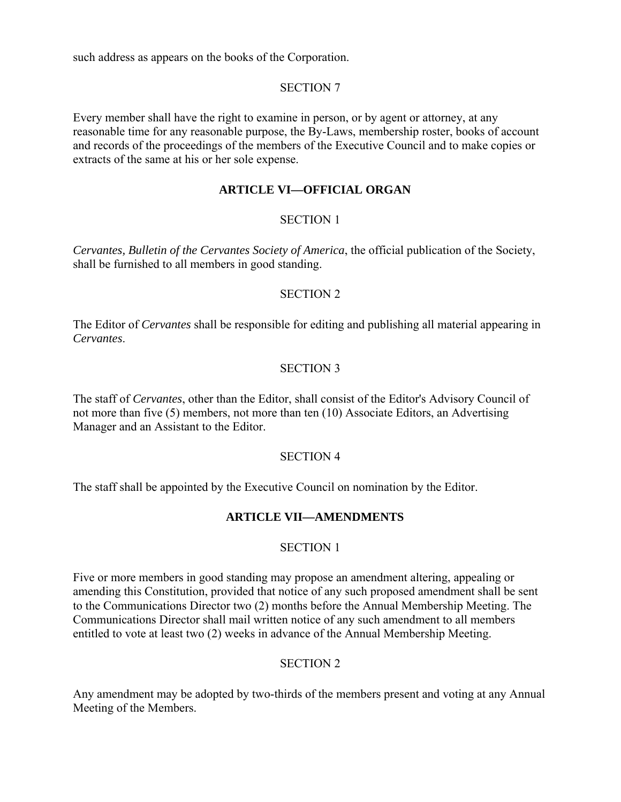such address as appears on the books of the Corporation.

# SECTION 7

Every member shall have the right to examine in person, or by agent or attorney, at any reasonable time for any reasonable purpose, the By-Laws, membership roster, books of account and records of the proceedings of the members of the Executive Council and to make copies or extracts of the same at his or her sole expense.

# **ARTICLE VI—OFFICIAL ORGAN**

# SECTION 1

*Cervantes, Bulletin of the Cervantes Society of America*, the official publication of the Society, shall be furnished to all members in good standing.

## SECTION 2

The Editor of *Cervantes* shall be responsible for editing and publishing all material appearing in *Cervantes*.

# SECTION 3

The staff of *Cervantes*, other than the Editor, shall consist of the Editor's Advisory Council of not more than five (5) members, not more than ten (10) Associate Editors, an Advertising Manager and an Assistant to the Editor.

## SECTION 4

The staff shall be appointed by the Executive Council on nomination by the Editor.

# **ARTICLE VII—AMENDMENTS**

## SECTION 1

Five or more members in good standing may propose an amendment altering, appealing or amending this Constitution, provided that notice of any such proposed amendment shall be sent to the Communications Director two (2) months before the Annual Membership Meeting. The Communications Director shall mail written notice of any such amendment to all members entitled to vote at least two (2) weeks in advance of the Annual Membership Meeting.

# SECTION 2

Any amendment may be adopted by two-thirds of the members present and voting at any Annual Meeting of the Members.